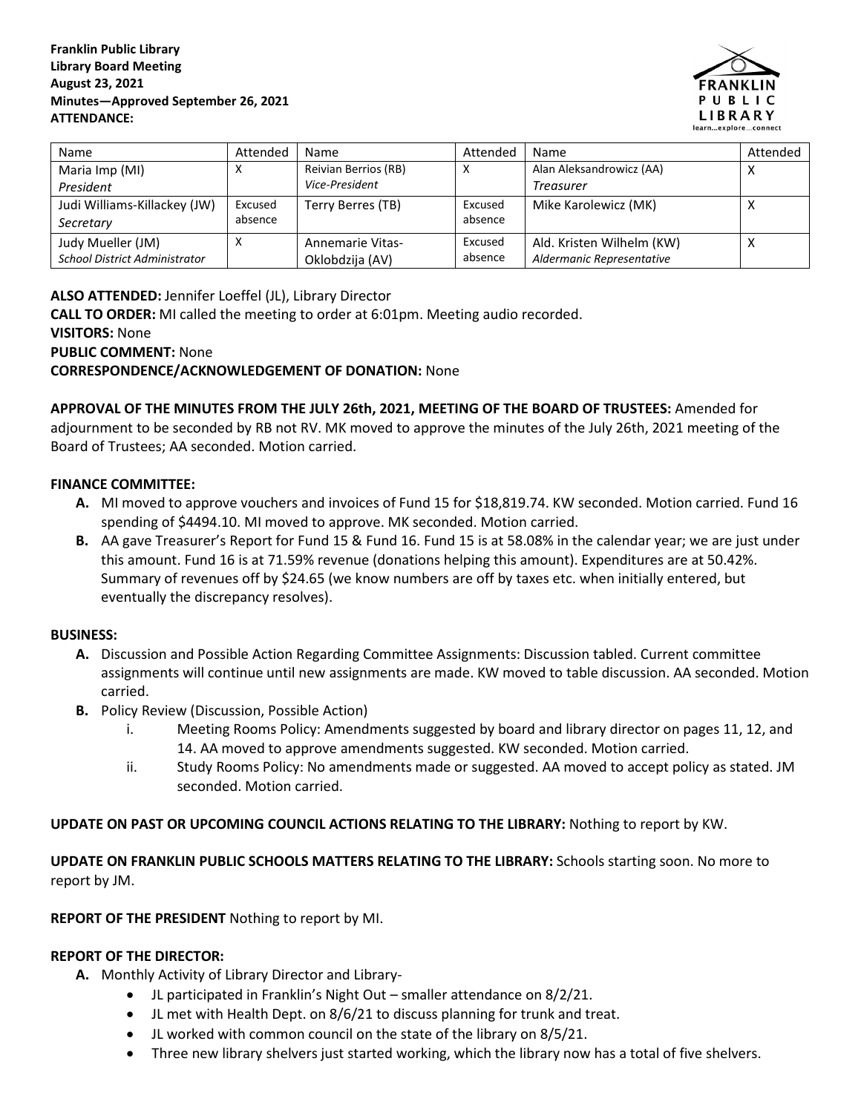#### **Franklin Public Library Library Board Meeting August 23, 2021 Minutes—Approved September 26, 2021 ATTENDANCE:**



| Name                                 | Attended | Name                    | Attended | Name                      | Attended         |
|--------------------------------------|----------|-------------------------|----------|---------------------------|------------------|
| Maria Imp (MI)                       | х        | Reivian Berrios (RB)    |          | Alan Aleksandrowicz (AA)  | ⌒                |
| President                            |          | Vice-President          |          | <b>Treasurer</b>          |                  |
| Judi Williams-Killackey (JW)         | Excused  | Terry Berres (TB)       | Excused  | Mike Karolewicz (MK)      | $\check{ }$<br>∧ |
| Secretary                            | absence  |                         | absence  |                           |                  |
| Judy Mueller (JM)                    | X        | <b>Annemarie Vitas-</b> | Excused  | Ald. Kristen Wilhelm (KW) | ◠                |
| <b>School District Administrator</b> |          | Oklobdzija (AV)         | absence  | Aldermanic Representative |                  |

**ALSO ATTENDED:** Jennifer Loeffel (JL), Library Director

**CALL TO ORDER:** MI called the meeting to order at 6:01pm. Meeting audio recorded.

**VISITORS:** None

**PUBLIC COMMENT:** None

**CORRESPONDENCE/ACKNOWLEDGEMENT OF DONATION:** None

**APPROVAL OF THE MINUTES FROM THE JULY 26th, 2021, MEETING OF THE BOARD OF TRUSTEES:** Amended for adjournment to be seconded by RB not RV. MK moved to approve the minutes of the July 26th, 2021 meeting of the Board of Trustees; AA seconded. Motion carried.

## **FINANCE COMMITTEE:**

- **A.** MI moved to approve vouchers and invoices of Fund 15 for \$18,819.74. KW seconded. Motion carried. Fund 16 spending of \$4494.10. MI moved to approve. MK seconded. Motion carried.
- **B.** AA gave Treasurer's Report for Fund 15 & Fund 16. Fund 15 is at 58.08% in the calendar year; we are just under this amount. Fund 16 is at 71.59% revenue (donations helping this amount). Expenditures are at 50.42%. Summary of revenues off by \$24.65 (we know numbers are off by taxes etc. when initially entered, but eventually the discrepancy resolves).

#### **BUSINESS:**

- **A.** Discussion and Possible Action Regarding Committee Assignments: Discussion tabled. Current committee assignments will continue until new assignments are made. KW moved to table discussion. AA seconded. Motion carried.
- **B.** Policy Review (Discussion, Possible Action)
	- i. Meeting Rooms Policy: Amendments suggested by board and library director on pages 11, 12, and 14. AA moved to approve amendments suggested. KW seconded. Motion carried.
	- ii. Study Rooms Policy: No amendments made or suggested. AA moved to accept policy as stated. JM seconded. Motion carried.

## **UPDATE ON PAST OR UPCOMING COUNCIL ACTIONS RELATING TO THE LIBRARY:** Nothing to report by KW.

**UPDATE ON FRANKLIN PUBLIC SCHOOLS MATTERS RELATING TO THE LIBRARY:** Schools starting soon. No more to report by JM.

**REPORT OF THE PRESIDENT** Nothing to report by MI.

## **REPORT OF THE DIRECTOR:**

- **A.** Monthly Activity of Library Director and Library-
	- JL participated in Franklin's Night Out smaller attendance on 8/2/21.
	- JL met with Health Dept. on 8/6/21 to discuss planning for trunk and treat.
	- JL worked with common council on the state of the library on 8/5/21.
	- Three new library shelvers just started working, which the library now has a total of five shelvers.